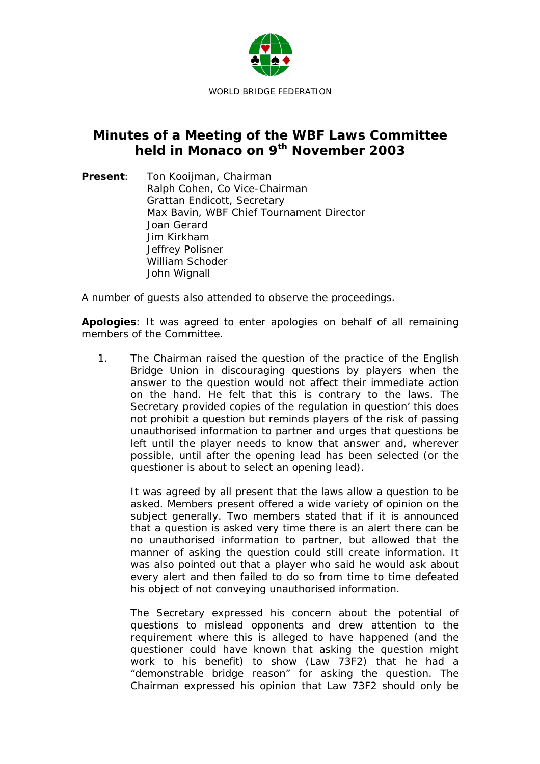

## **Minutes of a Meeting of the WBF Laws Committee held in Monaco on 9th November 2003**

**Present**: Ton Kooijman, Chairman Ralph Cohen, Co Vice-Chairman Grattan Endicott, Secretary Max Bavin, WBF Chief Tournament Director Joan Gerard Jim Kirkham Jeffrey Polisner William Schoder John Wignall

A number of guests also attended to observe the proceedings.

**Apologies**: It was agreed to enter apologies on behalf of all remaining members of the Committee.

1. The Chairman raised the question of the practice of the English Bridge Union in discouraging questions by players when the answer to the question would not affect their immediate action on the hand. He felt that this is contrary to the laws. The Secretary provided copies of the regulation in question' this does not prohibit a question but reminds players of the risk of passing unauthorised information to partner and urges that questions be left until the player needs to know that answer and, wherever possible, until after the opening lead has been selected (or the questioner is about to select an opening lead).

It was agreed by all present that the laws allow a question to be asked. Members present offered a wide variety of opinion on the subject generally. Two members stated that if it is announced that a question is asked very time there is an alert there can be no unauthorised information to partner, but allowed that the manner of asking the question could still create information. It was also pointed out that a player who said he would ask about every alert and then failed to do so from time to time defeated his object of not conveying unauthorised information.

The Secretary expressed his concern about the potential of questions to mislead opponents and drew attention to the requirement where this is alleged to have happened (and the questioner could have known that asking the question might work to his benefit) to show (Law 73F2) that he had a "demonstrable bridge reason" for asking the question. The Chairman expressed his opinion that Law 73F2 should only be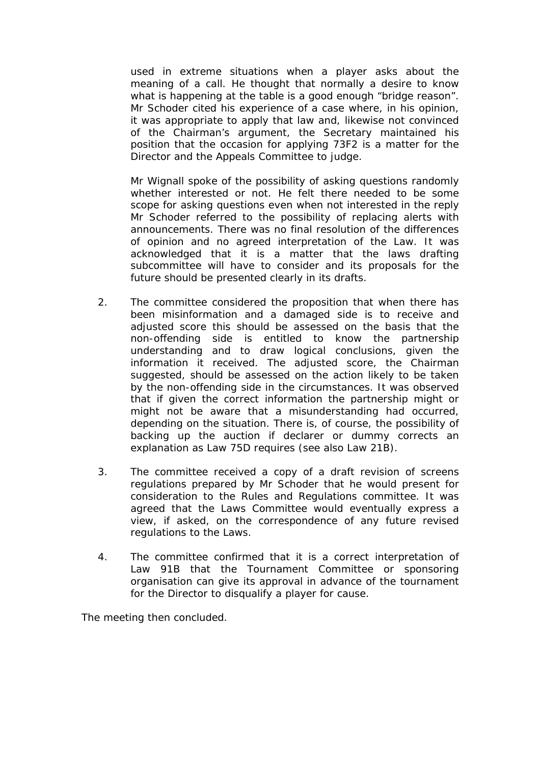used in extreme situations when a player asks about the meaning of a call. He thought that normally a desire to know what is happening at the table is a good enough "bridge reason". Mr Schoder cited his experience of a case where, in his opinion, it was appropriate to apply that law and, likewise not convinced of the Chairman's argument, the Secretary maintained his position that the occasion for applying 73F2 is a matter for the Director and the Appeals Committee to judge.

Mr Wignall spoke of the possibility of asking questions randomly whether interested or not. He felt there needed to be some scope for asking questions even when not interested in the reply Mr Schoder referred to the possibility of replacing alerts with announcements. There was no final resolution of the differences of opinion and no agreed interpretation of the Law. It was acknowledged that it is a matter that the laws drafting subcommittee will have to consider and its proposals for the future should be presented clearly in its drafts.

- 2. The committee considered the proposition that when there has been misinformation and a damaged side is to receive and adjusted score this should be assessed on the basis that the non-offending side is entitled to know the partnership understanding and to draw logical conclusions, given the information it received. The adjusted score, the Chairman suggested, should be assessed on the action likely to be taken by the non-offending side in the circumstances. It was observed that if given the correct information the partnership might or might not be aware that a misunderstanding had occurred, depending on the situation. There is, of course, the possibility of backing up the auction if declarer or dummy corrects an explanation as Law 75D requires (see also Law 21B).
- 3. The committee received a copy of a draft revision of screens regulations prepared by Mr Schoder that he would present for consideration to the Rules and Regulations committee. It was agreed that the Laws Committee would eventually express a view, if asked, on the correspondence of any future revised regulations to the Laws.
- 4. The committee confirmed that it is a correct interpretation of Law 91B that the Tournament Committee or sponsoring organisation can give its approval in advance of the tournament for the Director to disqualify a player for cause.

The meeting then concluded.